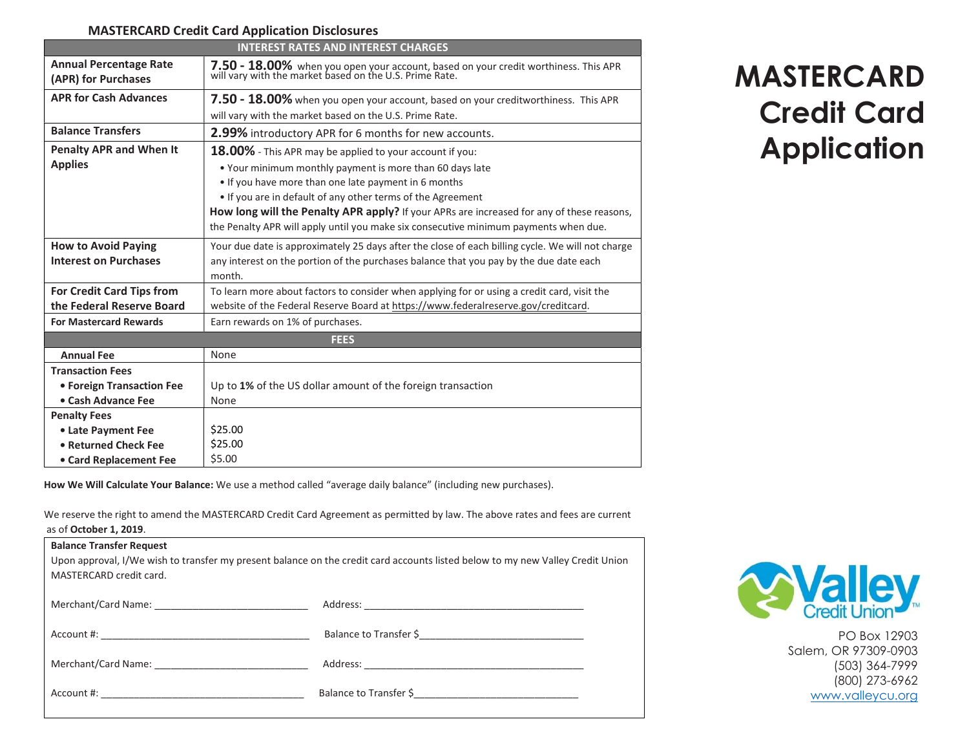## MASTERCARD Credit Card Application Disclosures

| <b>INTEREST RATES AND INTEREST CHARGES</b>           |                                                                                                                                             |  |  |
|------------------------------------------------------|---------------------------------------------------------------------------------------------------------------------------------------------|--|--|
| <b>Annual Percentage Rate</b><br>(APR) for Purchases | 7.50 - 18.00% when you open your account, based on your credit worthiness. This APR will vary with the market based on the U.S. Prime Rate. |  |  |
| <b>APR for Cash Advances</b>                         | 7.50 - 18.00% when you open your account, based on your creditworthiness. This APR                                                          |  |  |
|                                                      | will vary with the market based on the U.S. Prime Rate.                                                                                     |  |  |
| <b>Balance Transfers</b>                             | 2.99% introductory APR for 6 months for new accounts.                                                                                       |  |  |
| <b>Penalty APR and When It</b>                       | 18.00% - This APR may be applied to your account if you:                                                                                    |  |  |
| <b>Applies</b>                                       | . Your minimum monthly payment is more than 60 days late                                                                                    |  |  |
|                                                      | . If you have more than one late payment in 6 months                                                                                        |  |  |
|                                                      | . If you are in default of any other terms of the Agreement                                                                                 |  |  |
|                                                      | How long will the Penalty APR apply? If your APRs are increased for any of these reasons,                                                   |  |  |
|                                                      | the Penalty APR will apply until you make six consecutive minimum payments when due.                                                        |  |  |
| <b>How to Avoid Paying</b>                           | Your due date is approximately 25 days after the close of each billing cycle. We will not charge                                            |  |  |
| <b>Interest on Purchases</b>                         | any interest on the portion of the purchases balance that you pay by the due date each                                                      |  |  |
|                                                      | month.                                                                                                                                      |  |  |
| <b>For Credit Card Tips from</b>                     | To learn more about factors to consider when applying for or using a credit card, visit the                                                 |  |  |
| the Federal Reserve Board                            | website of the Federal Reserve Board at https://www.federalreserve.gov/creditcard.                                                          |  |  |
| <b>For Mastercard Rewards</b>                        | Earn rewards on 1% of purchases.                                                                                                            |  |  |
| <b>FEES</b>                                          |                                                                                                                                             |  |  |
| <b>Annual Fee</b>                                    | None                                                                                                                                        |  |  |
| <b>Transaction Fees</b>                              |                                                                                                                                             |  |  |
| • Foreign Transaction Fee                            | Up to 1% of the US dollar amount of the foreign transaction                                                                                 |  |  |
| • Cash Advance Fee                                   | None                                                                                                                                        |  |  |
| <b>Penalty Fees</b>                                  |                                                                                                                                             |  |  |
| • Late Payment Fee                                   | \$25.00                                                                                                                                     |  |  |
| • Returned Check Fee                                 | \$25.00                                                                                                                                     |  |  |
| • Card Replacement Fee                               | \$5.00                                                                                                                                      |  |  |

How We Will Calculate Your Balance: We use a method called "average daily balance" (including new purchases).

We reserve the right to amend the MASTERCARD Credit Card Agreement as permitted by law. The above rates and fees are current as of October 1, 2019.

| <b>Balance Transfer Request</b><br>Upon approval, I/We wish to transfer my present balance on the credit card accounts listed below to my new Valley Credit Union<br>MASTERCARD credit card. |  |  |  |
|----------------------------------------------------------------------------------------------------------------------------------------------------------------------------------------------|--|--|--|
|                                                                                                                                                                                              |  |  |  |
|                                                                                                                                                                                              |  |  |  |
|                                                                                                                                                                                              |  |  |  |
|                                                                                                                                                                                              |  |  |  |

## MASTERCARD Credit Card Application



PO Box 12903 Salem, OR 97309-0903 (503) 364-7999 (800) 273-6962 www.valleycu.org